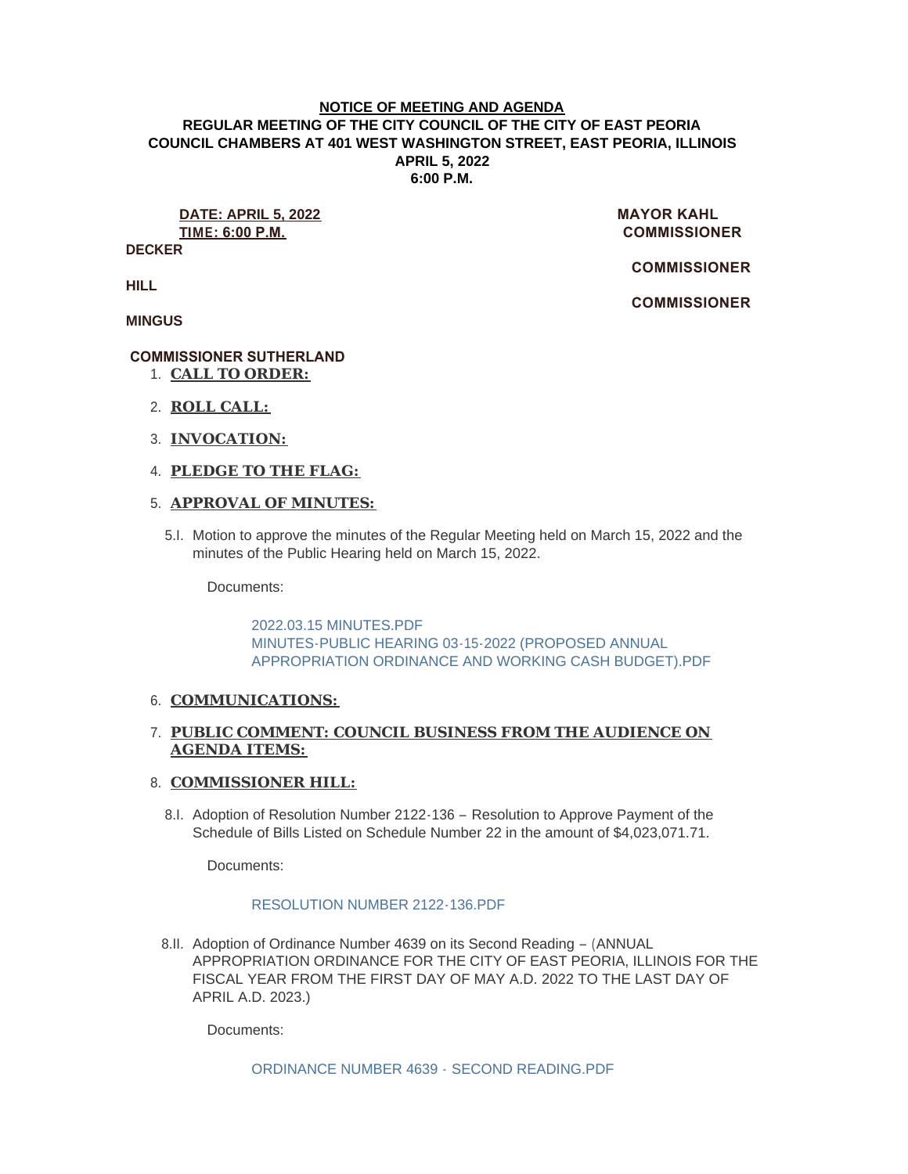### **NOTICE OF MEETING AND AGENDA REGULAR MEETING OF THE CITY COUNCIL OF THE CITY OF EAST PEORIA COUNCIL CHAMBERS AT 401 WEST WASHINGTON STREET, EAST PEORIA, ILLINOIS APRIL 5, 2022 6:00 P.M.**

**DATE: APRIL 5, 2022 MAYOR KAHL TIME: 6:00 P.M. COMMISSIONER** 

**DECKER**

 **COMMISSIONER** 

 **COMMISSIONER** 

**HILL**

**MINGUS**

# **COMMISSIONER SUTHERLAND**

- **CALL TO ORDER:** 1.
- **ROLL CALL:** 2.
- **INVOCATION:** 3.
- **PLEDGE TO THE FLAG:** 4.

# **APPROVAL OF MINUTES:** 5.

5.I. Motion to approve the minutes of the Regular Meeting held on March 15, 2022 and the minutes of the Public Hearing held on March 15, 2022.

Documents:

[2022.03.15 MINUTES.PDF](https://www.cityofeastpeoria.com/AgendaCenter/ViewFile/Item/4248?fileID=29619) MINUTES-PUBLIC HEARING 03-15-2022 (PROPOSED ANNUAL [APPROPRIATION ORDINANCE AND WORKING CASH BUDGET\).PDF](https://www.cityofeastpeoria.com/AgendaCenter/ViewFile/Item/4248?fileID=29620)

### 6. COMMUNICATIONS:

# **PUBLIC COMMENT: COUNCIL BUSINESS FROM THE AUDIENCE ON**  7. **AGENDA ITEMS:**

### **COMMISSIONER HILL:** 8.

8.I. Adoption of Resolution Number 2122-136 - Resolution to Approve Payment of the Schedule of Bills Listed on Schedule Number 22 in the amount of \$4,023,071.71.

Documents:

### [RESOLUTION NUMBER 2122-136.PDF](https://www.cityofeastpeoria.com/AgendaCenter/ViewFile/Item/4249?fileID=29642)

8.II. Adoption of Ordinance Number 4639 on its Second Reading - (ANNUAL APPROPRIATION ORDINANCE FOR THE CITY OF EAST PEORIA, ILLINOIS FOR THE FISCAL YEAR FROM THE FIRST DAY OF MAY A.D. 2022 TO THE LAST DAY OF APRIL A.D. 2023.)

Documents:

[ORDINANCE NUMBER 4639 -](https://www.cityofeastpeoria.com/AgendaCenter/ViewFile/Item/4250?fileID=29622) SECOND READING.PDF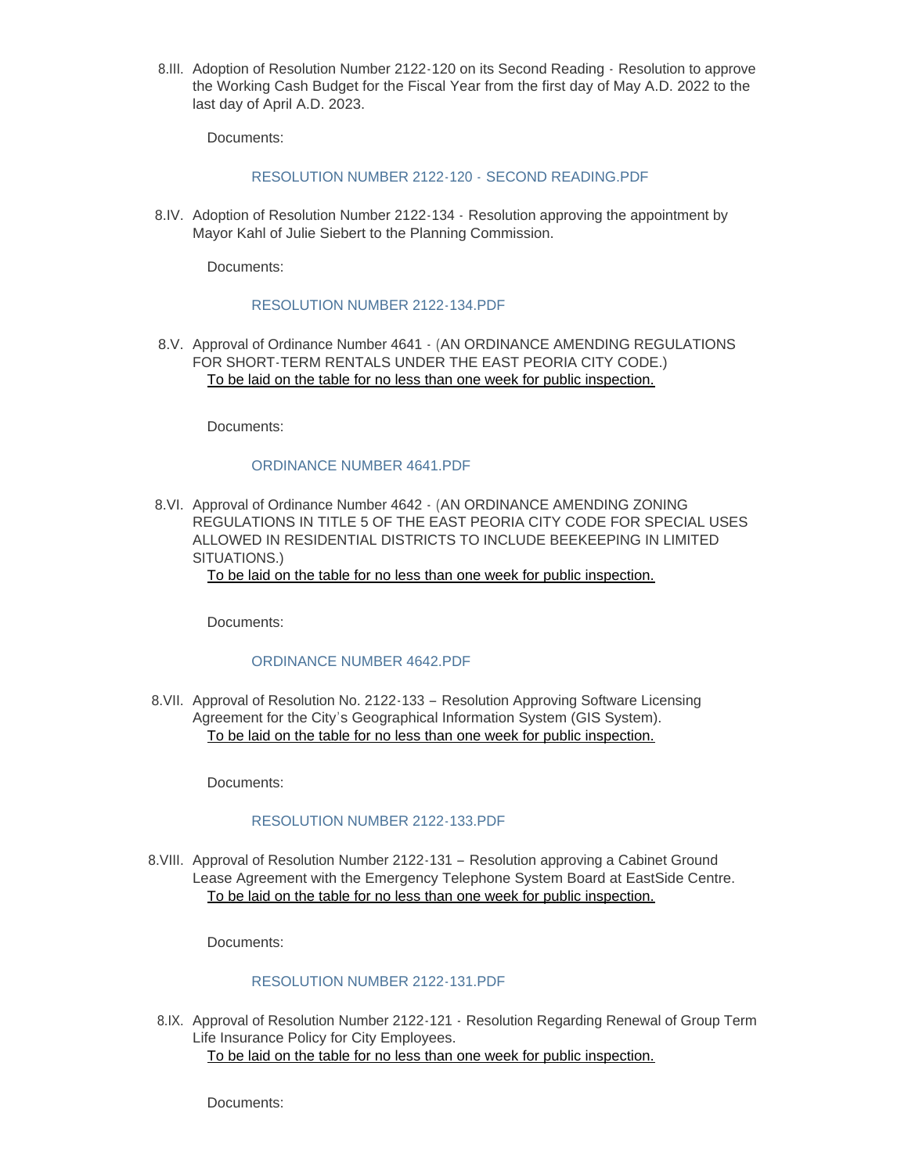8.III. Adoption of Resolution Number 2122-120 on its Second Reading - Resolution to approve the Working Cash Budget for the Fiscal Year from the first day of May A.D. 2022 to the last day of April A.D. 2023.

Documents:

### [RESOLUTION NUMBER 2122-120 -](https://www.cityofeastpeoria.com/AgendaCenter/ViewFile/Item/4251?fileID=29623) SECOND READING.PDF

8.IV. Adoption of Resolution Number 2122-134 - Resolution approving the appointment by Mayor Kahl of Julie Siebert to the Planning Commission.

Documents:

### [RESOLUTION NUMBER 2122-134.PDF](https://www.cityofeastpeoria.com/AgendaCenter/ViewFile/Item/4252?fileID=29624)

8.V. Approval of Ordinance Number 4641  $\cdot$  (AN ORDINANCE AMENDING REGULATIONS FOR SHORT-TERM RENTALS UNDER THE EAST PEORIA CITY CODE.) To be laid on the table for no less than one week for public inspection.

Documents:

#### [ORDINANCE NUMBER 4641.PDF](https://www.cityofeastpeoria.com/AgendaCenter/ViewFile/Item/4253?fileID=29625)

8.VI. Approval of Ordinance Number 4642 - (AN ORDINANCE AMENDING ZONING REGULATIONS IN TITLE 5 OF THE EAST PEORIA CITY CODE FOR SPECIAL USES ALLOWED IN RESIDENTIAL DISTRICTS TO INCLUDE BEEKEEPING IN LIMITED SITUATIONS.)

To be laid on the table for no less than one week for public inspection.

Documents:

#### [ORDINANCE NUMBER 4642.PDF](https://www.cityofeastpeoria.com/AgendaCenter/ViewFile/Item/4254?fileID=29626)

8.VII. Approval of Resolution No. 2122-133 - Resolution Approving Software Licensing Agreement for the City's Geographical Information System (GIS System). To be laid on the table for no less than one week for public inspection.

Documents:

#### [RESOLUTION NUMBER 2122-133.PDF](https://www.cityofeastpeoria.com/AgendaCenter/ViewFile/Item/4267?fileID=29639)

8. VIII. Approval of Resolution Number 2122-131 - Resolution approving a Cabinet Ground Lease Agreement with the Emergency Telephone System Board at EastSide Centre. To be laid on the table for no less than one week for public inspection.

Documents:

# [RESOLUTION NUMBER 2122-131.PDF](https://www.cityofeastpeoria.com/AgendaCenter/ViewFile/Item/4269?fileID=29641)

8.IX. Approval of Resolution Number 2122-121 - Resolution Regarding Renewal of Group Term Life Insurance Policy for City Employees. To be laid on the table for no less than one week for public inspection.

Documents: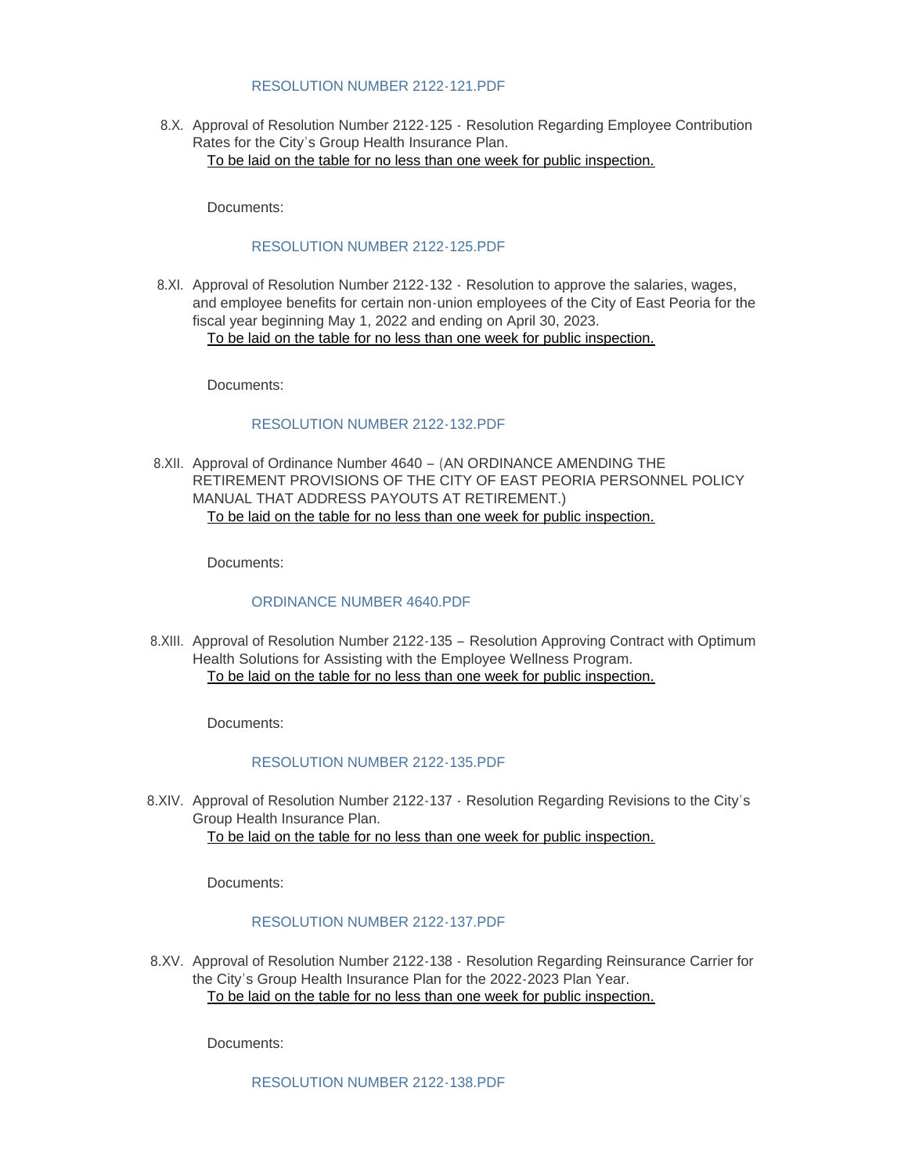### [RESOLUTION NUMBER 2122-121.PDF](https://www.cityofeastpeoria.com/AgendaCenter/ViewFile/Item/4255?fileID=29627)

8.X. Approval of Resolution Number 2122-125 - Resolution Regarding Employee Contribution Rates for the City's Group Health Insurance Plan. To be laid on the table for no less than one week for public inspection.

Documents:

### [RESOLUTION NUMBER 2122-125.PDF](https://www.cityofeastpeoria.com/AgendaCenter/ViewFile/Item/4256?fileID=29628)

8.XI. Approval of Resolution Number 2122-132 - Resolution to approve the salaries, wages, and employee benefits for certain non-union employees of the City of East Peoria for the fiscal year beginning May 1, 2022 and ending on April 30, 2023. To be laid on the table for no less than one week for public inspection.

Documents:

### [RESOLUTION NUMBER 2122-132.PDF](https://www.cityofeastpeoria.com/AgendaCenter/ViewFile/Item/4257?fileID=29629)

8.XII. Approval of Ordinance Number 4640 - (AN ORDINANCE AMENDING THE RETIREMENT PROVISIONS OF THE CITY OF EAST PEORIA PERSONNEL POLICY MANUAL THAT ADDRESS PAYOUTS AT RETIREMENT.) To be laid on the table for no less than one week for public inspection.

Documents:

#### [ORDINANCE NUMBER 4640.PDF](https://www.cityofeastpeoria.com/AgendaCenter/ViewFile/Item/4258?fileID=29630)

8.XIII. Approval of Resolution Number 2122-135 - Resolution Approving Contract with Optimum Health Solutions for Assisting with the Employee Wellness Program. To be laid on the table for no less than one week for public inspection.

Documents:

### [RESOLUTION NUMBER 2122-135.PDF](https://www.cityofeastpeoria.com/AgendaCenter/ViewFile/Item/4264?fileID=29636)

8.XIV. Approval of Resolution Number 2122-137 - Resolution Regarding Revisions to the City's Group Health Insurance Plan. To be laid on the table for no less than one week for public inspection.

Documents:

# [RESOLUTION NUMBER 2122-137.PDF](https://www.cityofeastpeoria.com/AgendaCenter/ViewFile/Item/4265?fileID=29637)

8.XV. Approval of Resolution Number 2122-138 - Resolution Regarding Reinsurance Carrier for the City's Group Health Insurance Plan for the 2022-2023 Plan Year. To be laid on the table for no less than one week for public inspection.

Documents: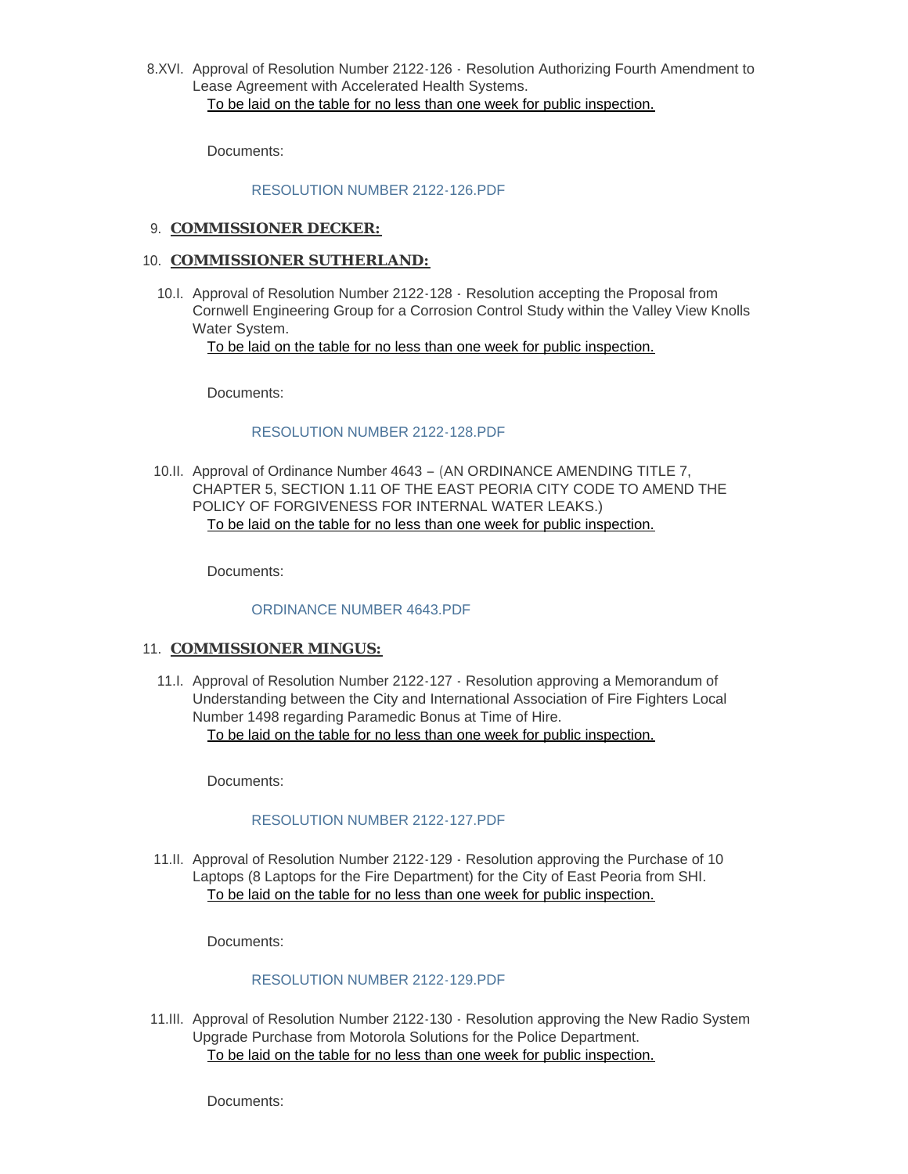8.XVI. Approval of Resolution Number 2122-126 - Resolution Authorizing Fourth Amendment to Lease Agreement with Accelerated Health Systems. To be laid on the table for no less than one week for public inspection.

Documents:

# [RESOLUTION NUMBER 2122-126.PDF](https://www.cityofeastpeoria.com/AgendaCenter/ViewFile/Item/4259?fileID=29631)

### **COMMISSIONER DECKER:** 9.

### 10. **COMMISSIONER SUTHERLAND:**

10.I. Approval of Resolution Number 2122-128 - Resolution accepting the Proposal from Cornwell Engineering Group for a Corrosion Control Study within the Valley View Knolls Water System.

To be laid on the table for no less than one week for public inspection.

Documents:

### [RESOLUTION NUMBER 2122-128.PDF](https://www.cityofeastpeoria.com/AgendaCenter/ViewFile/Item/4260?fileID=29632)

10.II. Approval of Ordinance Number 4643 - (AN ORDINANCE AMENDING TITLE 7, CHAPTER 5, SECTION 1.11 OF THE EAST PEORIA CITY CODE TO AMEND THE POLICY OF FORGIVENESS FOR INTERNAL WATER LEAKS.) To be laid on the table for no less than one week for public inspection.

Documents:

### [ORDINANCE NUMBER 4643.PDF](https://www.cityofeastpeoria.com/AgendaCenter/ViewFile/Item/4261?fileID=29633)

## 11. **COMMISSIONER MINGUS:**

11. Approval of Resolution Number 2122-127 - Resolution approving a Memorandum of Understanding between the City and International Association of Fire Fighters Local Number 1498 regarding Paramedic Bonus at Time of Hire. To be laid on the table for no less than one week for public inspection.

Documents:

### [RESOLUTION NUMBER 2122-127.PDF](https://www.cityofeastpeoria.com/AgendaCenter/ViewFile/Item/4262?fileID=29634)

11.II. Approval of Resolution Number 2122-129 - Resolution approving the Purchase of 10 Laptops (8 Laptops for the Fire Department) for the City of East Peoria from SHI. To be laid on the table for no less than one week for public inspection.

Documents:

### [RESOLUTION NUMBER 2122-129.PDF](https://www.cityofeastpeoria.com/AgendaCenter/ViewFile/Item/4263?fileID=29635)

11.III. Approval of Resolution Number 2122-130 - Resolution approving the New Radio System Upgrade Purchase from Motorola Solutions for the Police Department. To be laid on the table for no less than one week for public inspection.

Documents: